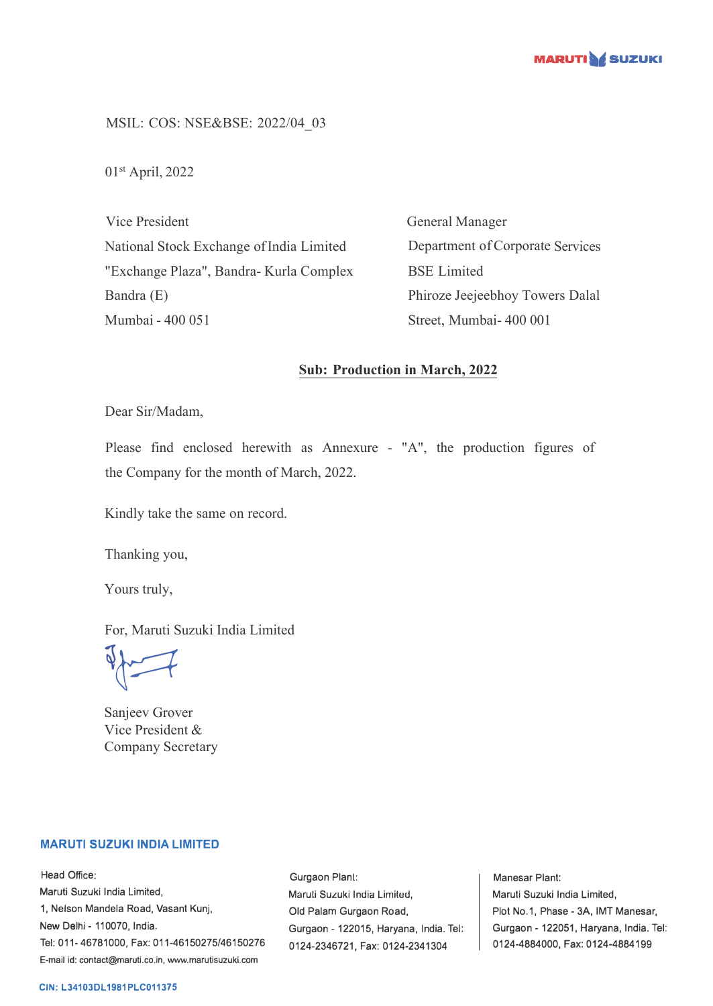

MSIL: COS: NSE&BSE: 2022/04\_03

01st April, 2022

Vice President National Stock Exchange of India Limited "Exchange Plaza", Bandra- Kurla Complex Bandra (E) Mumbai - 400 051

General Manager Department of Corporate Services BSE Limited Phiroze Jeejeebhoy Towers Dalal Street, Mumbai- 400 001

## **Sub: Production in March, 2022**

Dear Sir/Madam,

Please find enclosed herewith as Annexure - "A", the production figures of the Company for the month of March, 2022.

Kindly take the same on record.

Thanking you,

Yours truly,

For, Maruti Suzuki India Limited

 $\sqrt{2}$ 

Sanjeev Grover Vice President & Company Secretary

## **MARUTI SUZUKI INDIA LIMITED**

Head Office: Maruti Suzuki India Limited, 1, Nelson Mandela Road, Vasant Kunj, New Delhi - 110070, India. Tel: 011-46781000, Fax: 011-46150275/46150276 E-mail id: contact@maruti.co.in, www.marutisuzuki.com

Gurgaon Plant: Maruli Suzuki India Lirniled, Old Palam Gurgaon Road, Gurgaon - 122015, Haryana, India. Tel: 0124-2346721, Fax: 0124-2341304

Manesar Plant: Maruti Suzuki India Limited, Plot No.1, Phase - 3A, IMT Manesar, Gurgaon - 122051, Haryana, India. Tel: 0124-4884000, Fax: 0124-4884199

## **CIN: L34103DL1981PLC011375**